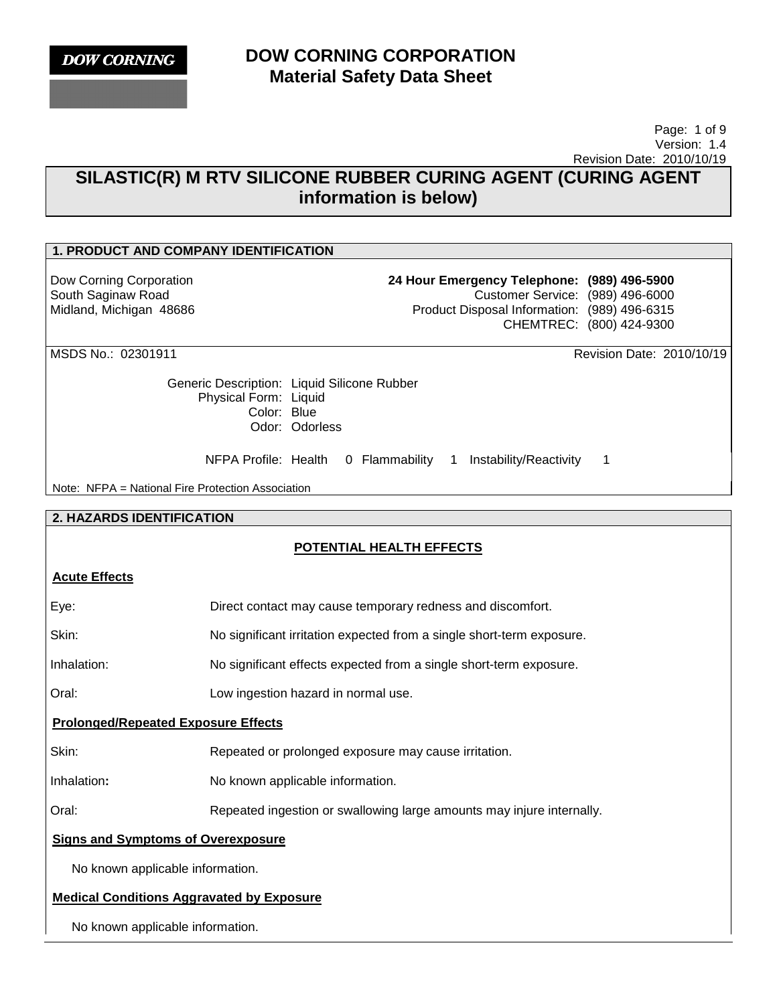**DOW CORNING** 

### **DOW CORNING CORPORATION Material Safety Data Sheet**

### Page: 1 of 9 Version: 1.4 Revision Date: 2010/10/19

# **SILASTIC(R) M RTV SILICONE RUBBER CURING AGENT (CURING AGENT information is below)**

### **1. PRODUCT AND COMPANY IDENTIFICATION**

Dow Corning Corporation South Saginaw Road Midland, Michigan 48686 **24 Hour Emergency Telephone: (989) 496-5900**

Customer Service: (989) 496-6000 Product Disposal Information: (989) 496-6315 CHEMTREC: (800) 424-9300

MSDS No.: 02301911 Revision Date: 2010/10/19

Generic Description: Liquid Silicone Rubber Physical Form: Liquid Color: Blue Odor: Odorless

NFPA Profile: Health 0 Flammability 1 Instability/Reactivity 1

Note: NFPA = National Fire Protection Association

### **2. HAZARDS IDENTIFICATION**

### **POTENTIAL HEALTH EFFECTS**

### **Acute Effects**

| Eye:                                             | Direct contact may cause temporary redness and discomfort.            |  |
|--------------------------------------------------|-----------------------------------------------------------------------|--|
| Skin:                                            | No significant irritation expected from a single short-term exposure. |  |
| Inhalation:                                      | No significant effects expected from a single short-term exposure.    |  |
| Oral:                                            | Low ingestion hazard in normal use.                                   |  |
| <b>Prolonged/Repeated Exposure Effects</b>       |                                                                       |  |
| Skin:                                            | Repeated or prolonged exposure may cause irritation.                  |  |
| Inhalation:                                      | No known applicable information.                                      |  |
| Oral:                                            | Repeated ingestion or swallowing large amounts may injure internally. |  |
| <b>Signs and Symptoms of Overexposure</b>        |                                                                       |  |
| No known applicable information.                 |                                                                       |  |
| <b>Medical Conditions Aggravated by Exposure</b> |                                                                       |  |

No known applicable information.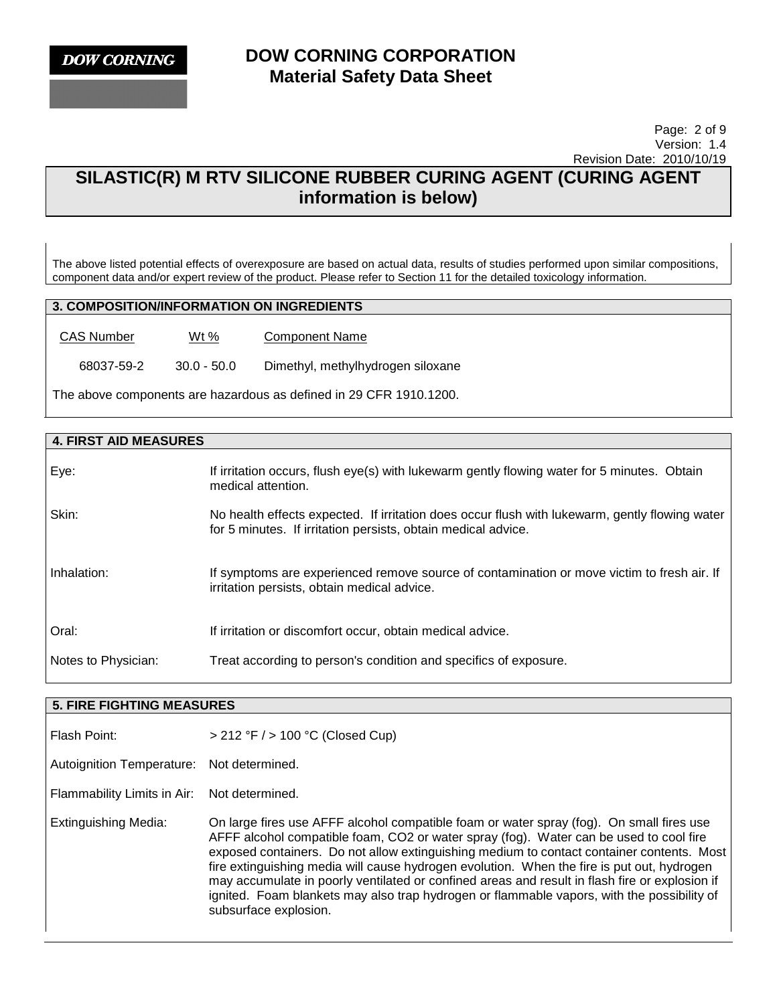### Page: 2 of 9 Version: 1.4 Revision Date: 2010/10/19

# **SILASTIC(R) M RTV SILICONE RUBBER CURING AGENT (CURING AGENT information is below)**

The above listed potential effects of overexposure are based on actual data, results of studies performed upon similar compositions, component data and/or expert review of the product. Please refer to Section 11 for the detailed toxicology information.

### **3. COMPOSITION/INFORMATION ON INGREDIENTS**

CAS Number Wt % Component Name

68037-59-2 30.0 - 50.0 Dimethyl, methylhydrogen siloxane

The above components are hazardous as defined in 29 CFR 1910.1200.

| <b>4. FIRST AID MEASURES</b> |                                                                                                                                                                 |
|------------------------------|-----------------------------------------------------------------------------------------------------------------------------------------------------------------|
| Eye:                         | If irritation occurs, flush eye(s) with lukewarm gently flowing water for 5 minutes. Obtain<br>medical attention.                                               |
| Skin:                        | No health effects expected. If irritation does occur flush with lukewarm, gently flowing water<br>for 5 minutes. If irritation persists, obtain medical advice. |
| Inhalation:                  | If symptoms are experienced remove source of contamination or move victim to fresh air. If<br>irritation persists, obtain medical advice.                       |
| Oral:                        | If irritation or discomfort occur, obtain medical advice.                                                                                                       |
| Notes to Physician:          | Treat according to person's condition and specifics of exposure.                                                                                                |

#### **5. FIRE FIGHTING MEASURES**

| Flash Point:                     | $> 212$ °F $/$ > 100 °C (Closed Cup)                                                                                                                                                                                                                                                                                                                                                                                                                                                                                                                                                                   |
|----------------------------------|--------------------------------------------------------------------------------------------------------------------------------------------------------------------------------------------------------------------------------------------------------------------------------------------------------------------------------------------------------------------------------------------------------------------------------------------------------------------------------------------------------------------------------------------------------------------------------------------------------|
| <b>Autoignition Temperature:</b> | Not determined.                                                                                                                                                                                                                                                                                                                                                                                                                                                                                                                                                                                        |
| Flammability Limits in Air:      | Not determined.                                                                                                                                                                                                                                                                                                                                                                                                                                                                                                                                                                                        |
| <b>Extinguishing Media:</b>      | On large fires use AFFF alcohol compatible foam or water spray (fog). On small fires use<br>AFFF alcohol compatible foam, CO2 or water spray (fog). Water can be used to cool fire<br>exposed containers. Do not allow extinguishing medium to contact container contents. Most<br>fire extinguishing media will cause hydrogen evolution. When the fire is put out, hydrogen<br>may accumulate in poorly ventilated or confined areas and result in flash fire or explosion if<br>ignited. Foam blankets may also trap hydrogen or flammable vapors, with the possibility of<br>subsurface explosion. |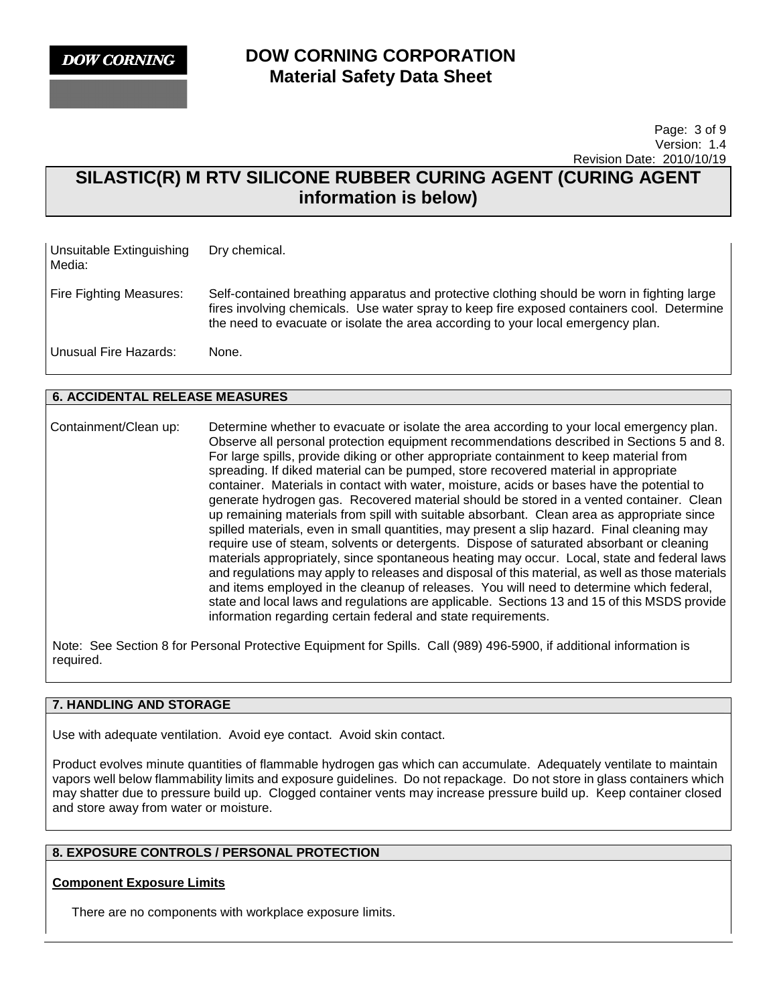### Page: 3 of 9 Version: 1.4 Revision Date: 2010/10/19

# **SILASTIC(R) M RTV SILICONE RUBBER CURING AGENT (CURING AGENT information is below)**

| Unsuitable Extinguishing<br>Media: | Dry chemical.                                                                                                                                                                                                                                                                 |
|------------------------------------|-------------------------------------------------------------------------------------------------------------------------------------------------------------------------------------------------------------------------------------------------------------------------------|
| Fire Fighting Measures:            | Self-contained breathing apparatus and protective clothing should be worn in fighting large<br>fires involving chemicals. Use water spray to keep fire exposed containers cool. Determine<br>the need to evacuate or isolate the area according to your local emergency plan. |
| Unusual Fire Hazards:              | None.                                                                                                                                                                                                                                                                         |

### **6. ACCIDENTAL RELEASE MEASURES**

Containment/Clean up: Determine whether to evacuate or isolate the area according to your local emergency plan. Observe all personal protection equipment recommendations described in Sections 5 and 8. For large spills, provide diking or other appropriate containment to keep material from spreading. If diked material can be pumped, store recovered material in appropriate container. Materials in contact with water, moisture, acids or bases have the potential to generate hydrogen gas. Recovered material should be stored in a vented container. Clean up remaining materials from spill with suitable absorbant. Clean area as appropriate since spilled materials, even in small quantities, may present a slip hazard. Final cleaning may require use of steam, solvents or detergents. Dispose of saturated absorbant or cleaning materials appropriately, since spontaneous heating may occur. Local, state and federal laws and regulations may apply to releases and disposal of this material, as well as those materials and items employed in the cleanup of releases. You will need to determine which federal, state and local laws and regulations are applicable. Sections 13 and 15 of this MSDS provide information regarding certain federal and state requirements.

Note: See Section 8 for Personal Protective Equipment for Spills. Call (989) 496-5900, if additional information is required.

### **7. HANDLING AND STORAGE**

Use with adequate ventilation. Avoid eye contact. Avoid skin contact.

Product evolves minute quantities of flammable hydrogen gas which can accumulate. Adequately ventilate to maintain vapors well below flammability limits and exposure guidelines. Do not repackage. Do not store in glass containers which may shatter due to pressure build up. Clogged container vents may increase pressure build up. Keep container closed and store away from water or moisture.

### **8. EXPOSURE CONTROLS / PERSONAL PROTECTION**

### **Component Exposure Limits**

There are no components with workplace exposure limits.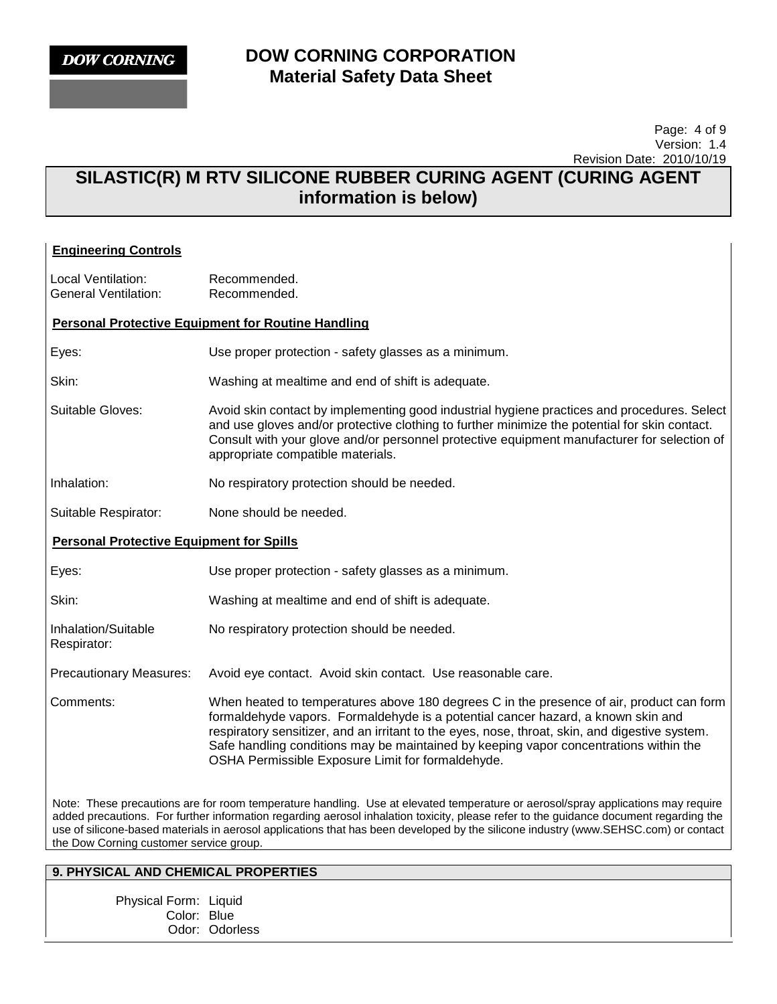### Page: 4 of 9 Version: 1.4 Revision Date: 2010/10/19

# **SILASTIC(R) M RTV SILICONE RUBBER CURING AGENT (CURING AGENT information is below)**

| <b>Engineering Controls</b>                                                                                                                                                                                                                                                                                                                                                                                                                                 |                                                                                                                                                                                                                                                                                                                                                                                                                              |  |
|-------------------------------------------------------------------------------------------------------------------------------------------------------------------------------------------------------------------------------------------------------------------------------------------------------------------------------------------------------------------------------------------------------------------------------------------------------------|------------------------------------------------------------------------------------------------------------------------------------------------------------------------------------------------------------------------------------------------------------------------------------------------------------------------------------------------------------------------------------------------------------------------------|--|
| Local Ventilation:<br><b>General Ventilation:</b>                                                                                                                                                                                                                                                                                                                                                                                                           | Recommended.<br>Recommended.                                                                                                                                                                                                                                                                                                                                                                                                 |  |
| <b>Personal Protective Equipment for Routine Handling</b>                                                                                                                                                                                                                                                                                                                                                                                                   |                                                                                                                                                                                                                                                                                                                                                                                                                              |  |
| Eyes:                                                                                                                                                                                                                                                                                                                                                                                                                                                       | Use proper protection - safety glasses as a minimum.                                                                                                                                                                                                                                                                                                                                                                         |  |
| Skin:                                                                                                                                                                                                                                                                                                                                                                                                                                                       | Washing at mealtime and end of shift is adequate.                                                                                                                                                                                                                                                                                                                                                                            |  |
| Suitable Gloves:                                                                                                                                                                                                                                                                                                                                                                                                                                            | Avoid skin contact by implementing good industrial hygiene practices and procedures. Select<br>and use gloves and/or protective clothing to further minimize the potential for skin contact.<br>Consult with your glove and/or personnel protective equipment manufacturer for selection of<br>appropriate compatible materials.                                                                                             |  |
| Inhalation:                                                                                                                                                                                                                                                                                                                                                                                                                                                 | No respiratory protection should be needed.                                                                                                                                                                                                                                                                                                                                                                                  |  |
| Suitable Respirator:                                                                                                                                                                                                                                                                                                                                                                                                                                        | None should be needed.                                                                                                                                                                                                                                                                                                                                                                                                       |  |
| <b>Personal Protective Equipment for Spills</b>                                                                                                                                                                                                                                                                                                                                                                                                             |                                                                                                                                                                                                                                                                                                                                                                                                                              |  |
| Eyes:                                                                                                                                                                                                                                                                                                                                                                                                                                                       | Use proper protection - safety glasses as a minimum.                                                                                                                                                                                                                                                                                                                                                                         |  |
| Skin:                                                                                                                                                                                                                                                                                                                                                                                                                                                       | Washing at mealtime and end of shift is adequate.                                                                                                                                                                                                                                                                                                                                                                            |  |
| Inhalation/Suitable<br>Respirator:                                                                                                                                                                                                                                                                                                                                                                                                                          | No respiratory protection should be needed.                                                                                                                                                                                                                                                                                                                                                                                  |  |
| <b>Precautionary Measures:</b>                                                                                                                                                                                                                                                                                                                                                                                                                              | Avoid eye contact. Avoid skin contact. Use reasonable care.                                                                                                                                                                                                                                                                                                                                                                  |  |
| Comments:                                                                                                                                                                                                                                                                                                                                                                                                                                                   | When heated to temperatures above 180 degrees C in the presence of air, product can form<br>formaldehyde vapors. Formaldehyde is a potential cancer hazard, a known skin and<br>respiratory sensitizer, and an irritant to the eyes, nose, throat, skin, and digestive system.<br>Safe handling conditions may be maintained by keeping vapor concentrations within the<br>OSHA Permissible Exposure Limit for formaldehyde. |  |
| Note: These precautions are for room temperature handling. Use at elevated temperature or aerosol/spray applications may require<br>added precautions. For further information regarding aerosol inhalation toxicity, please refer to the guidance document regarding the<br>use of silicone-based materials in aerosol applications that has been developed by the silicone industry (www.SEHSC.com) or contact<br>the Dow Corning customer service group. |                                                                                                                                                                                                                                                                                                                                                                                                                              |  |

# **9. PHYSICAL AND CHEMICAL PROPERTIES**

Physical Form: Liquid Color: Blue Odor: Odorless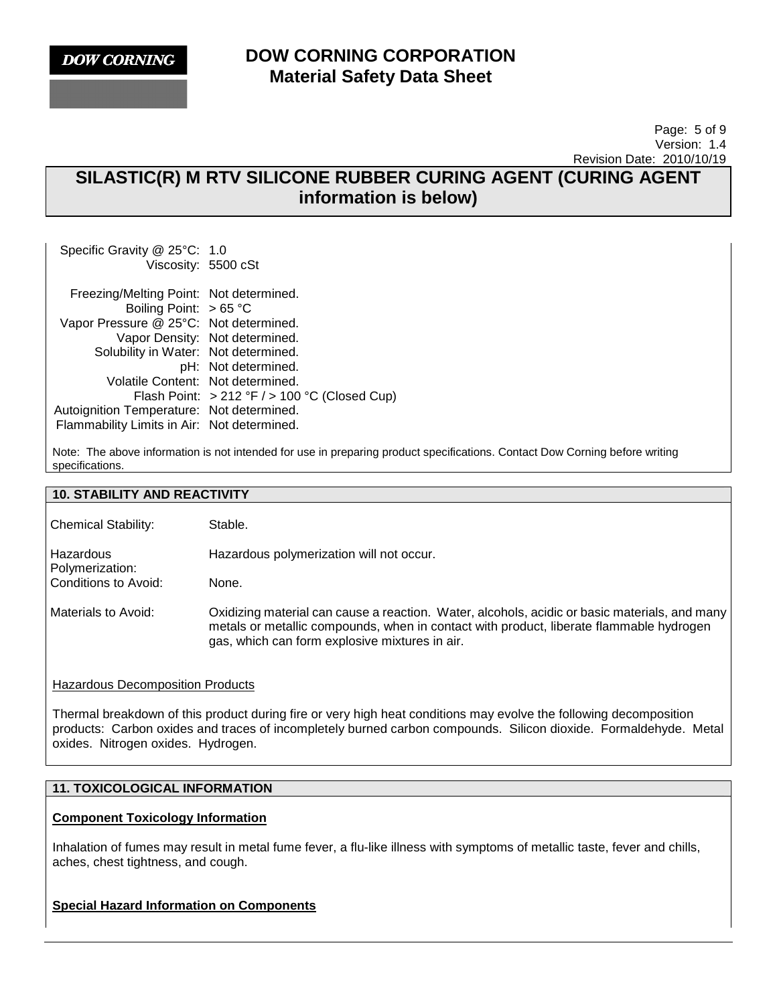

### Page: 5 of 9 Version: 1.4 Revision Date: 2010/10/19

# **SILASTIC(R) M RTV SILICONE RUBBER CURING AGENT (CURING AGENT information is below)**

Specific Gravity @ 25°C: 1.0 Viscosity: 5500 cSt Freezing/Melting Point: Not determined. Boiling Point: > 65 °C Vapor Pressure @ 25°C: Not determined. Vapor Density: Not determined. Solubility in Water: Not determined. pH: Not determined. Volatile Content: Not determined. Flash Point: > 212 °F / > 100 °C (Closed Cup) Autoignition Temperature: Not determined. Flammability Limits in Air: Not determined.

Note: The above information is not intended for use in preparing product specifications. Contact Dow Corning before writing specifications.

### **10. STABILITY AND REACTIVITY**

| <b>Chemical Stability:</b>   | Stable.                                                                                                                                                                                                                                    |
|------------------------------|--------------------------------------------------------------------------------------------------------------------------------------------------------------------------------------------------------------------------------------------|
| Hazardous<br>Polymerization: | Hazardous polymerization will not occur.                                                                                                                                                                                                   |
| Conditions to Avoid:         | None.                                                                                                                                                                                                                                      |
| Materials to Avoid:          | Oxidizing material can cause a reaction. Water, alcohols, acidic or basic materials, and many<br>metals or metallic compounds, when in contact with product, liberate flammable hydrogen<br>gas, which can form explosive mixtures in air. |

### Hazardous Decomposition Products

Thermal breakdown of this product during fire or very high heat conditions may evolve the following decomposition products: Carbon oxides and traces of incompletely burned carbon compounds. Silicon dioxide. Formaldehyde. Metal oxides. Nitrogen oxides. Hydrogen.

### **11. TOXICOLOGICAL INFORMATION**

### **Component Toxicology Information**

Inhalation of fumes may result in metal fume fever, a flu-like illness with symptoms of metallic taste, fever and chills, aches, chest tightness, and cough.

### **Special Hazard Information on Components**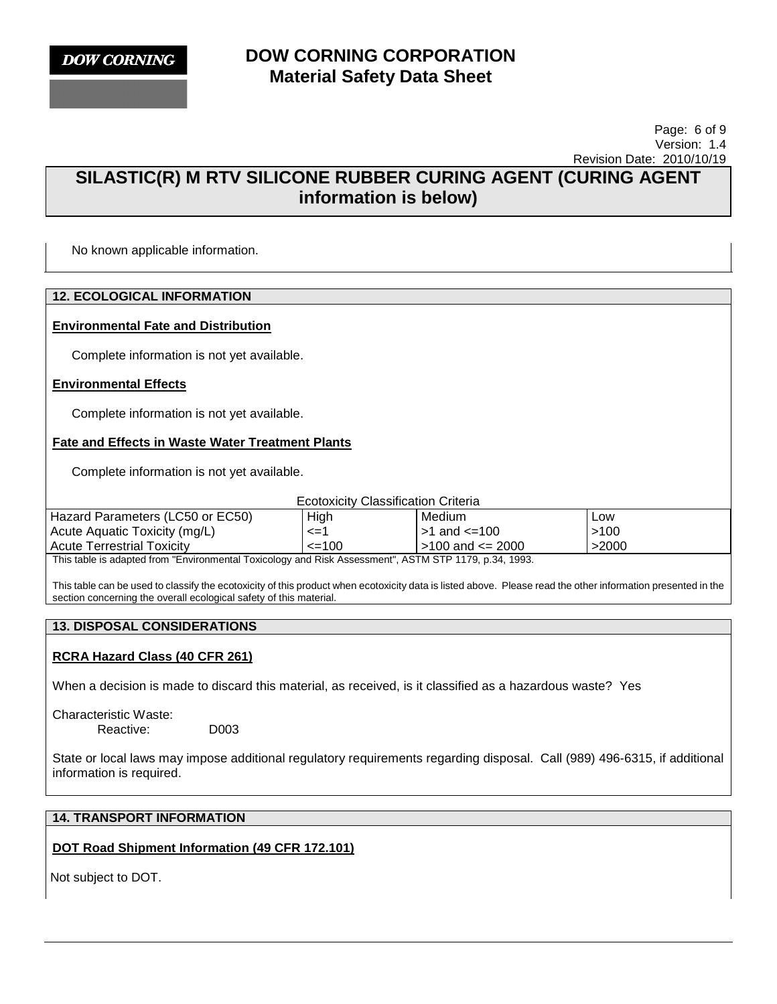

### Page: 6 of 9 Version: 1.4 Revision Date: 2010/10/19

# **SILASTIC(R) M RTV SILICONE RUBBER CURING AGENT (CURING AGENT information is below)**

No known applicable information.

### **12. ECOLOGICAL INFORMATION**

### **Environmental Fate and Distribution**

Complete information is not yet available.

### **Environmental Effects**

Complete information is not yet available.

### **Fate and Effects in Waste Water Treatment Plants**

Complete information is not yet available.

Ecotoxicity Classification Criteria

| Hazard Parameters (LC50 or EC50)                                                                  | High       | Medium                  | Low   |
|---------------------------------------------------------------------------------------------------|------------|-------------------------|-------|
| Acute Aguatic Toxicity (mg/L)                                                                     | <=         | $>1$ and $\leq 100$     | >100  |
| <b>Acute Terrestrial Toxicity</b>                                                                 | $\leq$ 100 | $\mid$ >100 and <= 2000 | >2000 |
| This toble is adopted from "Environmental Texicology and Diak Assessment" ACTM CTD 1170 p.24 1002 |            |                         |       |

This table is adapted from "Environmental Toxicology and Risk Assessment", ASTM STP 1179, p.34, 1993.

This table can be used to classify the ecotoxicity of this product when ecotoxicity data is listed above. Please read the other information presented in the section concerning the overall ecological safety of this material.

### **13. DISPOSAL CONSIDERATIONS**

### **RCRA Hazard Class (40 CFR 261)**

When a decision is made to discard this material, as received, is it classified as a hazardous waste? Yes

Characteristic Waste: Reactive: D003

State or local laws may impose additional regulatory requirements regarding disposal. Call (989) 496-6315, if additional information is required.

### **14. TRANSPORT INFORMATION**

### **DOT Road Shipment Information (49 CFR 172.101)**

Not subject to DOT.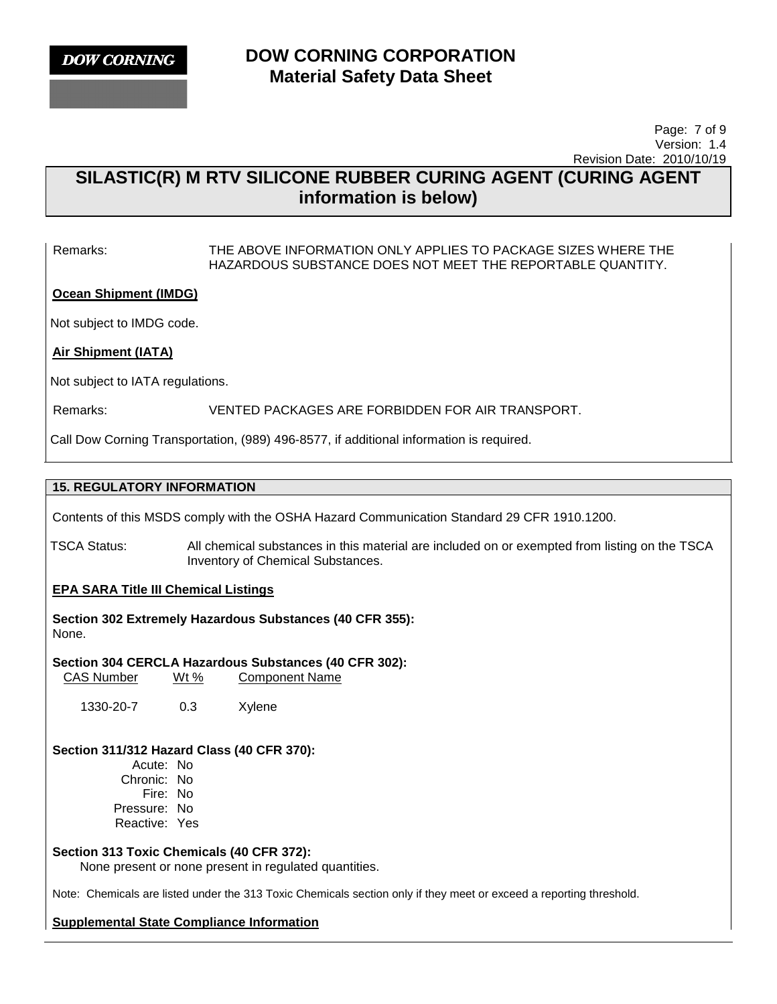

 Page: 7 of 9 Version: 1.4 Revision Date: 2010/10/19

# **SILASTIC(R) M RTV SILICONE RUBBER CURING AGENT (CURING AGENT information is below)**

Remarks: THE ABOVE INFORMATION ONLY APPLIES TO PACKAGE SIZES WHERE THE HAZARDOUS SUBSTANCE DOES NOT MEET THE REPORTABLE QUANTITY.

**Ocean Shipment (IMDG)**

Not subject to IMDG code.

**Air Shipment (IATA)**

Not subject to IATA regulations.

Remarks: VENTED PACKAGES ARE FORBIDDEN FOR AIR TRANSPORT.

Call Dow Corning Transportation, (989) 496-8577, if additional information is required.

### **15. REGULATORY INFORMATION**

Contents of this MSDS comply with the OSHA Hazard Communication Standard 29 CFR 1910.1200.

TSCA Status: All chemical substances in this material are included on or exempted from listing on the TSCA Inventory of Chemical Substances.

### **EPA SARA Title III Chemical Listings**

**Section 302 Extremely Hazardous Substances (40 CFR 355):**  None.

**Section 304 CERCLA Hazardous Substances (40 CFR 302):**  CAS Number Wt % Component Name

1330-20-7 0.3 Xylene

### **Section 311/312 Hazard Class (40 CFR 370):**

Acute: No Chronic: No Fire: No Pressure: No Reactive: Yes

### **Section 313 Toxic Chemicals (40 CFR 372):**

None present or none present in regulated quantities.

Note: Chemicals are listed under the 313 Toxic Chemicals section only if they meet or exceed a reporting threshold.

### **Supplemental State Compliance Information**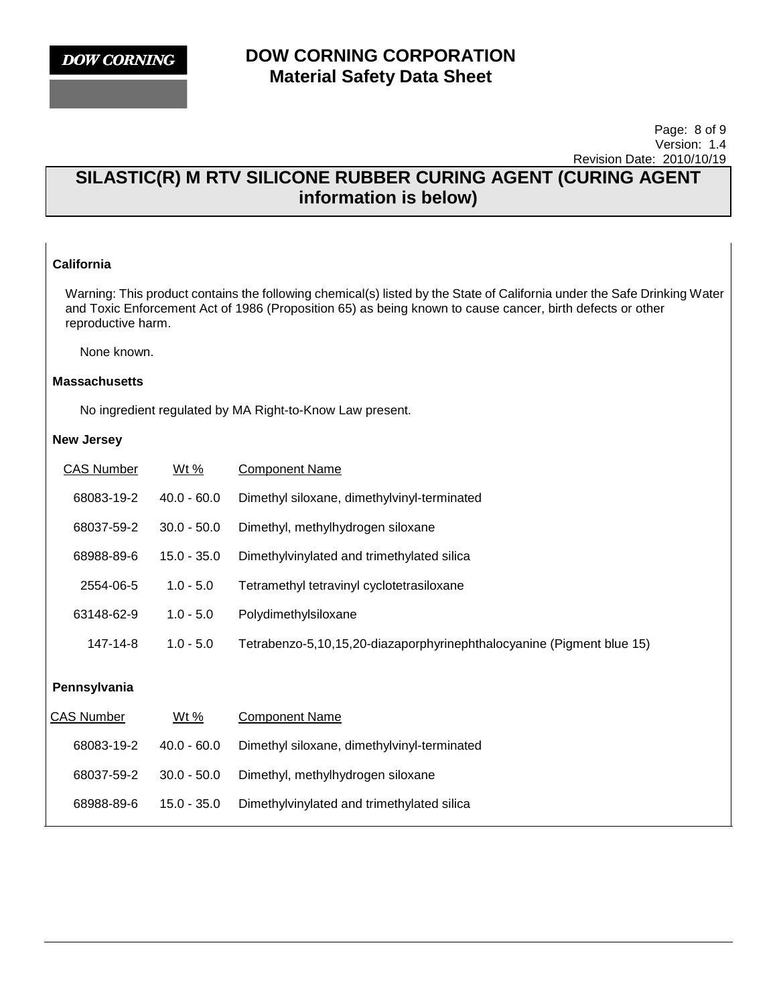### Page: 8 of 9 Version: 1.4 Revision Date: 2010/10/19

# **SILASTIC(R) M RTV SILICONE RUBBER CURING AGENT (CURING AGENT information is below)**

### **California**

Warning: This product contains the following chemical(s) listed by the State of California under the Safe Drinking Water and Toxic Enforcement Act of 1986 (Proposition 65) as being known to cause cancer, birth defects or other reproductive harm.

None known.

#### **Massachusetts**

No ingredient regulated by MA Right-to-Know Law present.

### **New Jersey**

| <b>CAS Number</b> | $Wt\%$        | <b>Component Name</b>                                                 |
|-------------------|---------------|-----------------------------------------------------------------------|
| 68083-19-2        | $40.0 - 60.0$ | Dimethyl siloxane, dimethylvinyl-terminated                           |
| 68037-59-2        | $30.0 - 50.0$ | Dimethyl, methylhydrogen siloxane                                     |
| 68988-89-6        | $15.0 - 35.0$ | Dimethylvinylated and trimethylated silica                            |
| 2554-06-5         | $1.0 - 5.0$   | Tetramethyl tetravinyl cyclotetrasiloxane                             |
| 63148-62-9        | $1.0 - 5.0$   | Polydimethylsiloxane                                                  |
| 147-14-8          | $1.0 - 5.0$   | Tetrabenzo-5,10,15,20-diazaporphyrinephthalocyanine (Pigment blue 15) |
| Pennsylvania      |               |                                                                       |
| CAS Number        | Wt %          | Component Name                                                        |
| 68083-19-2        | $40.0 - 60.0$ | Dimethyl siloxane, dimethylvinyl-terminated                           |
| 68037-59-2        | $30.0 - 50.0$ | Dimethyl, methylhydrogen siloxane                                     |
| 68988-89-6        | $15.0 - 35.0$ | Dimethylvinylated and trimethylated silica                            |